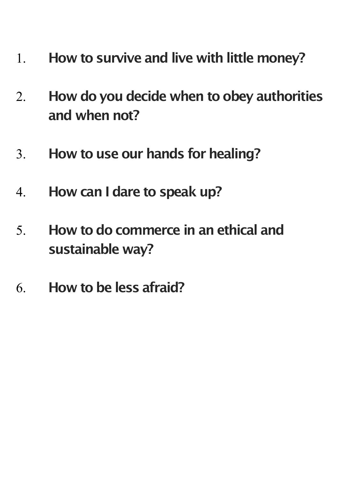- 1. **How to survive and live with little money?**
- 2. **How do you decide when to obey authorities and when not?**
- 3. **How to use our hands for healing?**
- 4. **How can I dare to speak up?**
- 5. **How to do commerce in an ethical and sustainable way?**
- 6. **How to be less afraid?**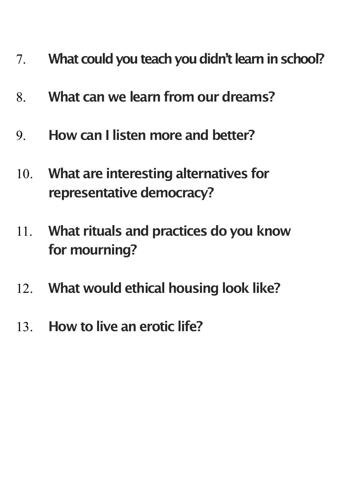- 7. **What could you teach you didn't learn in school?**
- 8. **What can we learn from our dreams?**
- 9. **How can I listen more and better?**
- 10. **What are interesting alternatives for representative democracy?**
- 11. **What rituals and practices do you know for mourning?**
- 12. **What would ethical housing look like?**
- 13. **How to live an erotic life?**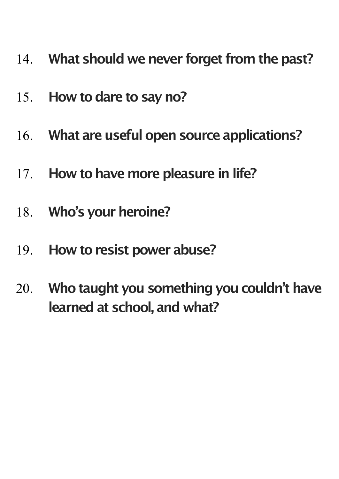- 14. **What should we never forget from the past?**
- 15. **How to dare to say no?**
- 16. **What are useful open source applications?**
- 17. **How to have more pleasure in life?**
- 18. **Who's your heroine?**
- 19. **How to resist power abuse?**
- 20. **Who taught you something you couldn't have learned at school, and what?**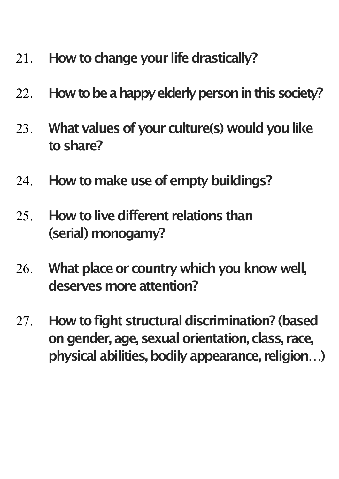- 21. **How to change your life drastically?**
- 22. **How to be a happy elderly person in this society?**
- 23. **What values of your culture(s) would you like to share?**
- 24. **How to make use of empty buildings?**
- 25. **How to live different relations than (serial) monogamy?**
- 26. **What place or country which you know well, deserves more attention?**
- 27. **How to fight structural discrimination? (based on gender, age, sexual orientation, class, race, physical abilities, bodily appearance, religion…)**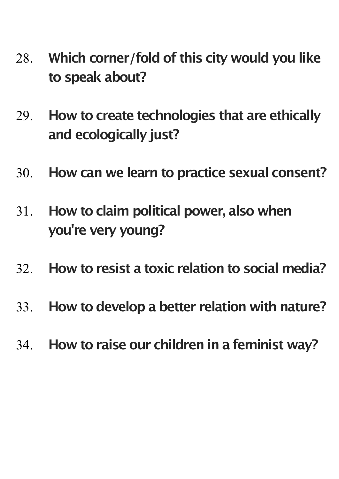- 28. **Which corner/fold of this city would you like to speak about?**
- 29. **How to create technologies that are ethically and ecologically just?**
- 30. **How can we learn to practice sexual consent?**
- 31. **How to claim political power, also when you're very young?**
- 32. **How to resist a toxic relation to social media?**
- 33. **How to develop a better relation with nature?**
- 34. **How to raise our children in a feminist way?**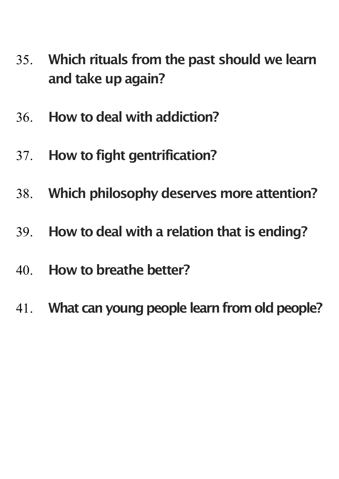- 35. **Which rituals from the past should we learn and take up again?**
- 36. **How to deal with addiction?**
- 37. **How to fight gentrification?**
- 38. **Which philosophy deserves more attention?**
- 39. **How to deal with a relation that is ending?**
- 40. **How to breathe better?**
- 41. **What can young people learn from old people?**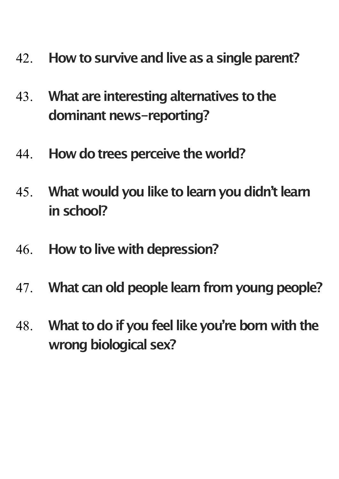- 42. **How to survive and live as a single parent?**
- 43. **What are interesting alternatives to the dominant news-reporting?**
- 44. **How do trees perceive the world?**
- 45. **What would you like to learn you didn't learn in school?**
- 46. **How to live with depression?**
- 47. **What can old people learn from young people?**
- 48. **What to do if you feel like you're born with the wrong biological sex?**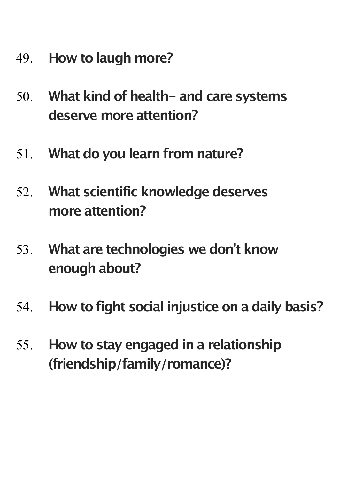- 49. **How to laugh more?**
- 50. **What kind of health- and care systems deserve more attention?**
- 51. **What do you learn from nature?**
- 52. **What scientific knowledge deserves more attention?**
- 53. **What are technologies we don't know enough about?**
- 54. **How to fight social injustice on a daily basis?**
- 55. **How to stay engaged in a relationship (friendship/family/romance)?**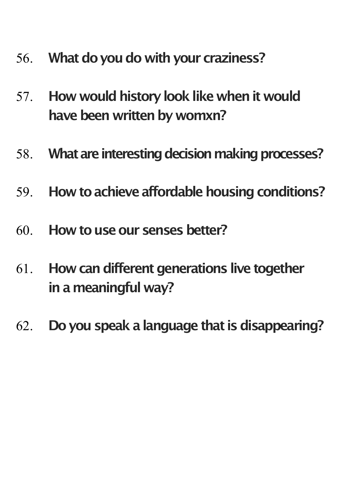- 56. **What do you do with your craziness?**
- 57. **How would history look like when it would have been written by womxn?**
- 58. **What are interesting decision making processes?**
- 59. **How to achieve affordable housing conditions?**
- 60. **How to use our senses better?**
- 61. **How can different generations live together in a meaningful way?**
- 62. **Do you speak a language that is disappearing?**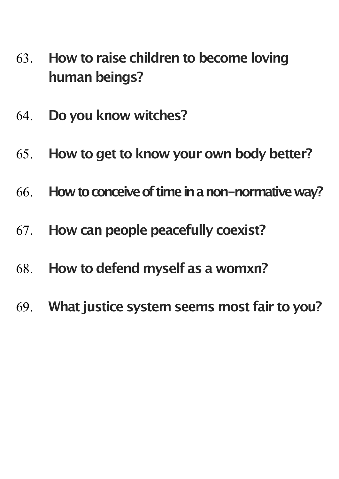- 63. **How to raise children to become loving human beings?**
- 64. **Do you know witches?**
- 65. **How to get to know your own body better?**
- 66. **How to conceive of time in a non-normative way?**
- 67. **How can people peacefully coexist?**
- 68. **How to defend myself as a womxn?**
- 69. **What justice system seems most fair to you?**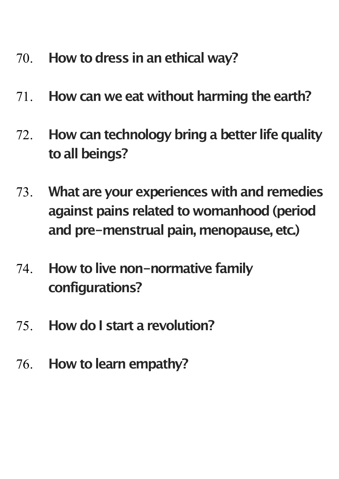- 70. **How to dress in an ethical way?**
- 71. **How can we eat without harming the earth?**
- 72. **How can technology bring a better life quality to all beings?**
- 73. **What are your experiences with and remedies against pains related to womanhood (period and pre-menstrual pain, menopause, etc.)**
- 74. **How to live non-normative family configurations?**
- 75. **How do I start a revolution?**
- 76. **How to learn empathy?**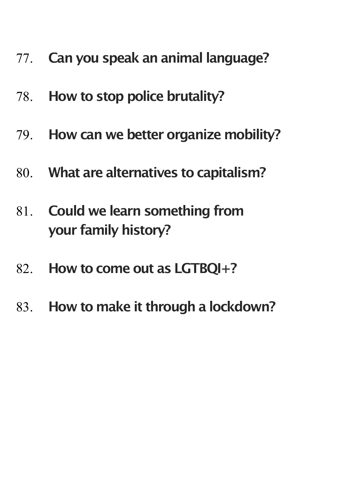- 77. **Can you speak an animal language?**
- 78. **How to stop police brutality?**
- 79. **How can we better organize mobility?**
- 80. **What are alternatives to capitalism?**
- 81. **Could we learn something from your family history?**
- 82. **How to come out as LGTBQI+?**
- 83. **How to make it through a lockdown?**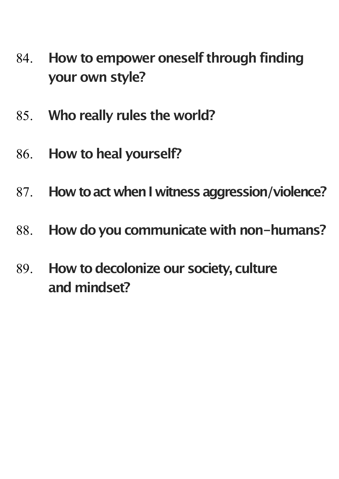- 84. **How to empower oneself through finding your own style?**
- 85. **Who really rules the world?**
- 86. **How to heal yourself?**
- 87. **How to act when I witness aggression/violence?**
- 88. **How do you communicate with non-humans?**
- 89. **How to decolonize our society, culture and mindset?**